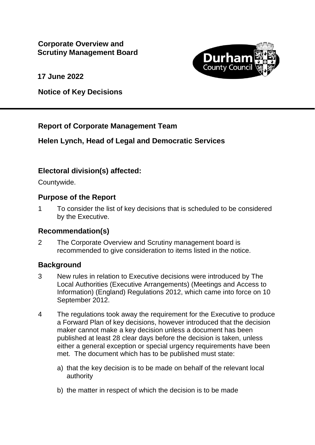

**17 June 2022**

**Notice of Key Decisions**

## **Report of Corporate Management Team**

## **Helen Lynch, Head of Legal and Democratic Services**

# **Electoral division(s) affected:**

Countywide.

### **Purpose of the Report**

1 To consider the list of key decisions that is scheduled to be considered by the Executive.

### **Recommendation(s)**

2 The Corporate Overview and Scrutiny management board is recommended to give consideration to items listed in the notice.

### **Background**

- 3 New rules in relation to Executive decisions were introduced by The Local Authorities (Executive Arrangements) (Meetings and Access to Information) (England) Regulations 2012, which came into force on 10 September 2012.
- 4 The regulations took away the requirement for the Executive to produce a Forward Plan of key decisions, however introduced that the decision maker cannot make a key decision unless a document has been published at least 28 clear days before the decision is taken, unless either a general exception or special urgency requirements have been met. The document which has to be published must state:
	- a) that the key decision is to be made on behalf of the relevant local authority
	- b) the matter in respect of which the decision is to be made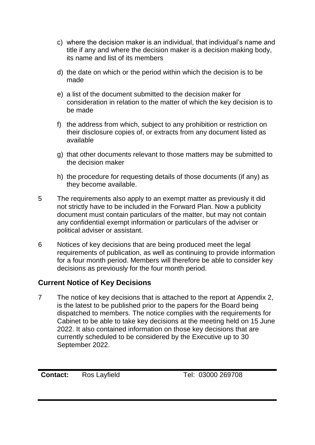- c) where the decision maker is an individual, that individual's name and title if any and where the decision maker is a decision making body, its name and list of its members
- d) the date on which or the period within which the decision is to be made
- e) a list of the document submitted to the decision maker for consideration in relation to the matter of which the key decision is to be made
- f) the address from which, subject to any prohibition or restriction on their disclosure copies of, or extracts from any document listed as available
- g) that other documents relevant to those matters may be submitted to the decision maker
- h) the procedure for requesting details of those documents (if any) as they become available.
- 5 The requirements also apply to an exempt matter as previously it did not strictly have to be included in the Forward Plan. Now a publicity document must contain particulars of the matter, but may not contain any confidential exempt information or particulars of the adviser or political adviser or assistant.
- 6 Notices of key decisions that are being produced meet the legal requirements of publication, as well as continuing to provide information for a four month period. Members will therefore be able to consider key decisions as previously for the four month period.

## **Current Notice of Key Decisions**

7 The notice of key decisions that is attached to the report at Appendix 2, is the latest to be published prior to the papers for the Board being dispatched to members. The notice complies with the requirements for Cabinet to be able to take key decisions at the meeting held on 15 June 2022. It also contained information on those key decisions that are currently scheduled to be considered by the Executive up to 30 September 2022.

**Contact:** Ros Layfield Tel: 03000 269708